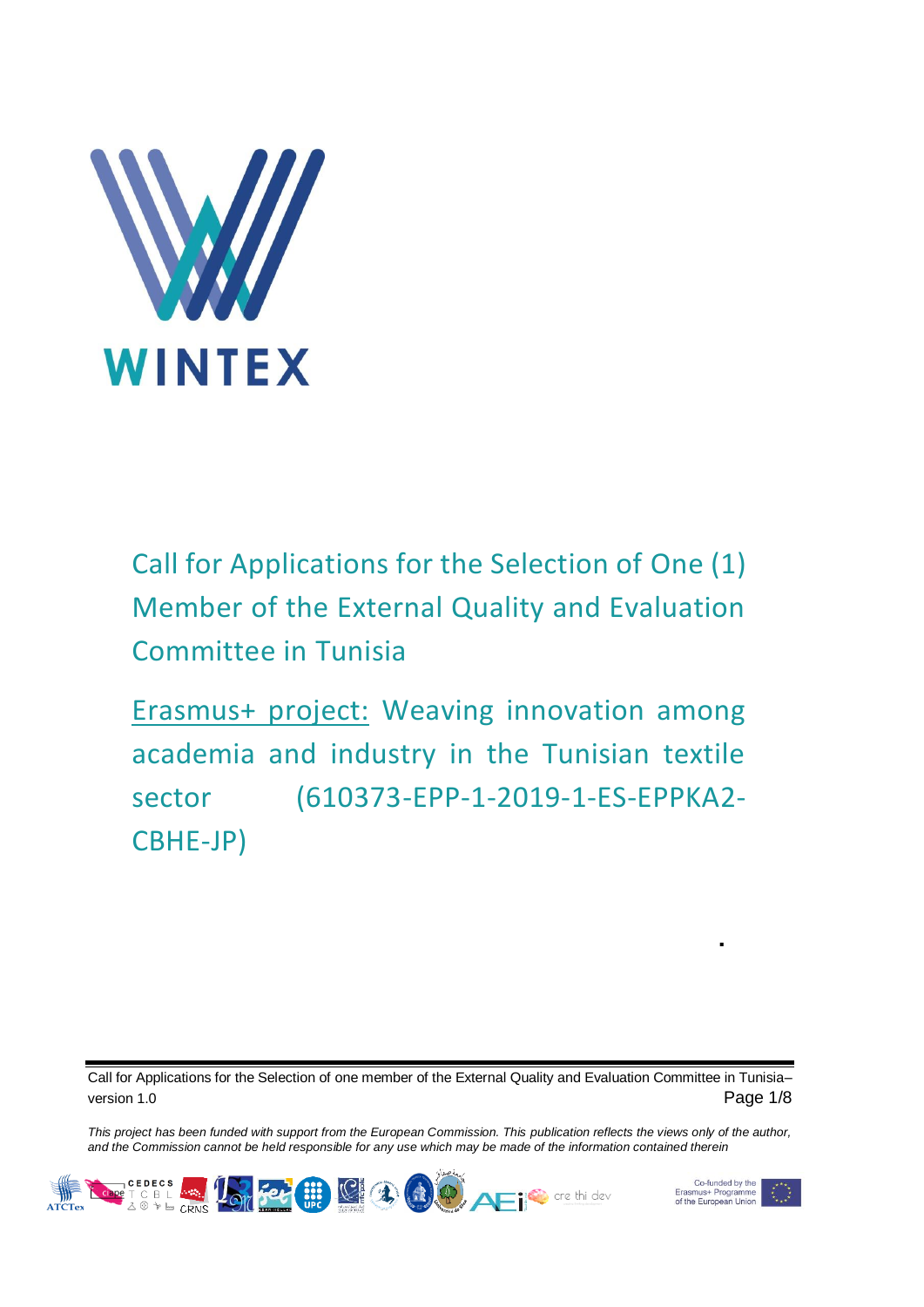

Call for Applications for the Selection of One (1) Member of the External Quality and Evaluation Committee in Tunisia

Erasmus+ project: Weaving innovation among academia and industry in the Tunisian textile sector (610373-EPP-1-2019-1-ES-EPPKA2- CBHE-JP)

Call for Applications for the Selection of one member of the External Quality and Evaluation Committee in Tunisia– version 1.0 **Page 1/8** 

*This project has been funded with support from the European Commission. This publication reflects the views only of the author, and the Commission cannot be held responsible for any use which may be made of the information contained therein*





f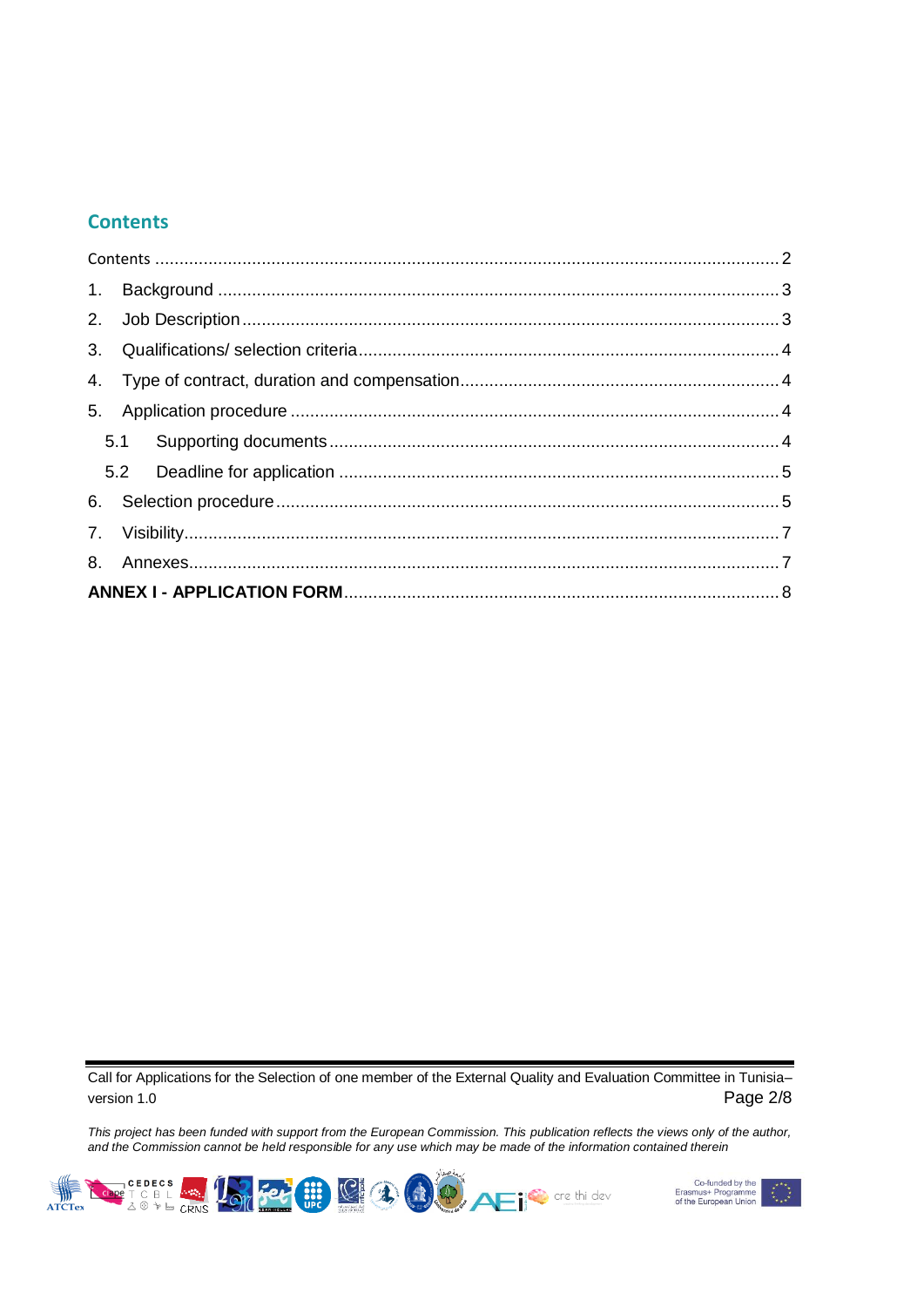### <span id="page-1-0"></span>**Contents**

Call for Applications for the Selection of one member of the External Quality and Evaluation Committee in Tunisia– version 1.0 **Page 2/8** 



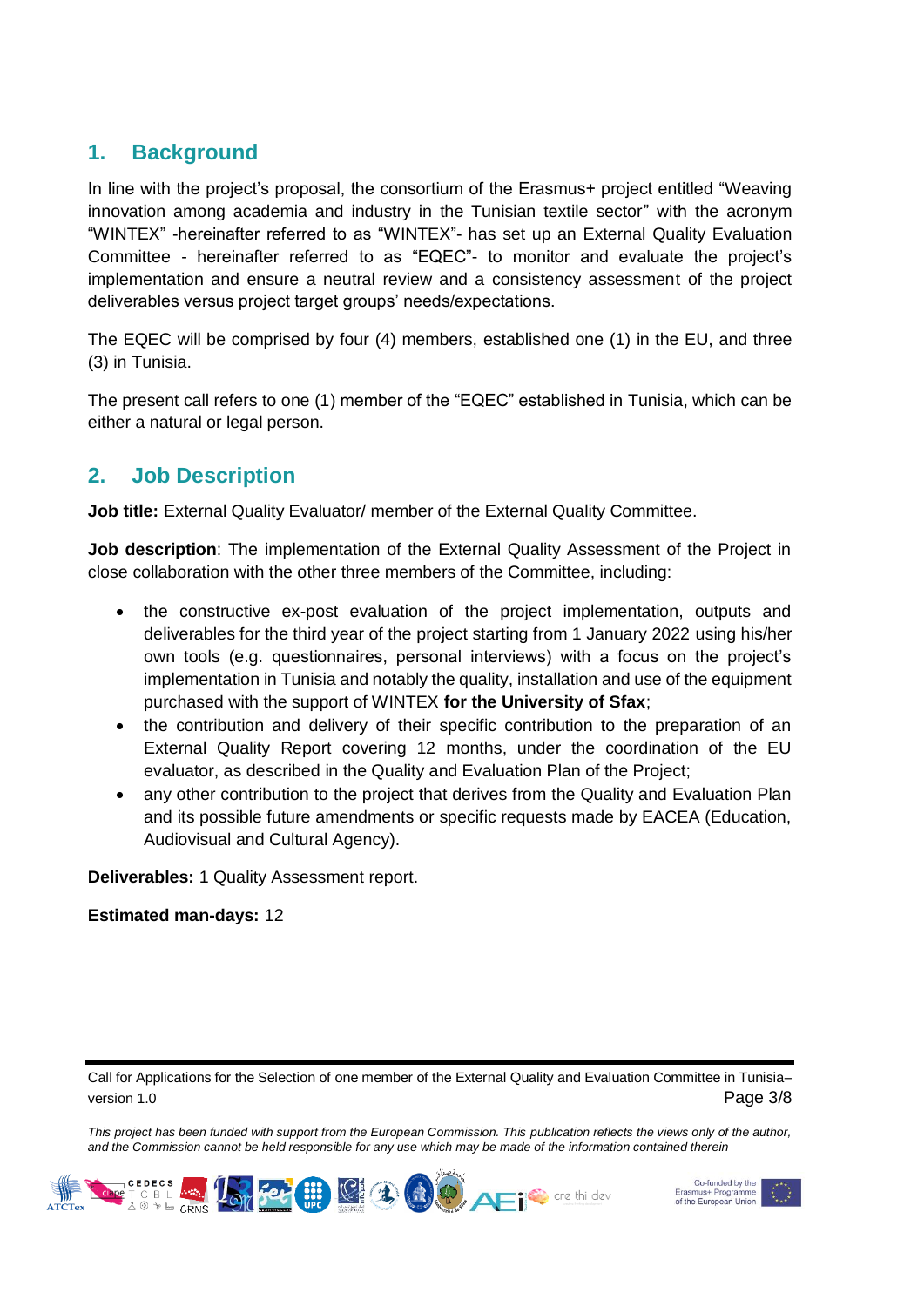## <span id="page-2-0"></span>**1. Background**

In line with the project's proposal, the consortium of the Erasmus+ project entitled "Weaving innovation among academia and industry in the Tunisian textile sector" with the acronym "WINTEX" -hereinafter referred to as "WINTEX"- has set up an External Quality Evaluation Committee - hereinafter referred to as "EQEC"- to monitor and evaluate the project's implementation and ensure a neutral review and a consistency assessment of the project deliverables versus project target groups' needs/expectations.

The EQEC will be comprised by four (4) members, established one (1) in the EU, and three (3) in Tunisia.

The present call refers to one (1) member of the "EQEC" established in Tunisia, which can be either a natural or legal person.

## <span id="page-2-1"></span>**2. Job Description**

**Job title:** External Quality Evaluator/ member of the External Quality Committee.

**Job description**: The implementation of the External Quality Assessment of the Project in close collaboration with the other three members of the Committee, including:

- the constructive ex-post evaluation of the project implementation, outputs and deliverables for the third year of the project starting from 1 January 2022 using his/her own tools (e.g. questionnaires, personal interviews) with a focus on the project's implementation in Tunisia and notably the quality, installation and use of the equipment purchased with the support of WINTEX **for the University of Sfax**;
- the contribution and delivery of their specific contribution to the preparation of an External Quality Report covering 12 months, under the coordination of the EU evaluator, as described in the Quality and Evaluation Plan of the Project;
- any other contribution to the project that derives from the Quality and Evaluation Plan and its possible future amendments or specific requests made by EACEA (Education, Audiovisual and Cultural Agency).

**Deliverables:** 1 Quality Assessment report.

### **Estimated man-days:** 12

Call for Applications for the Selection of one member of the External Quality and Evaluation Committee in Tunisia– version 1.0 **Page 3/8** 



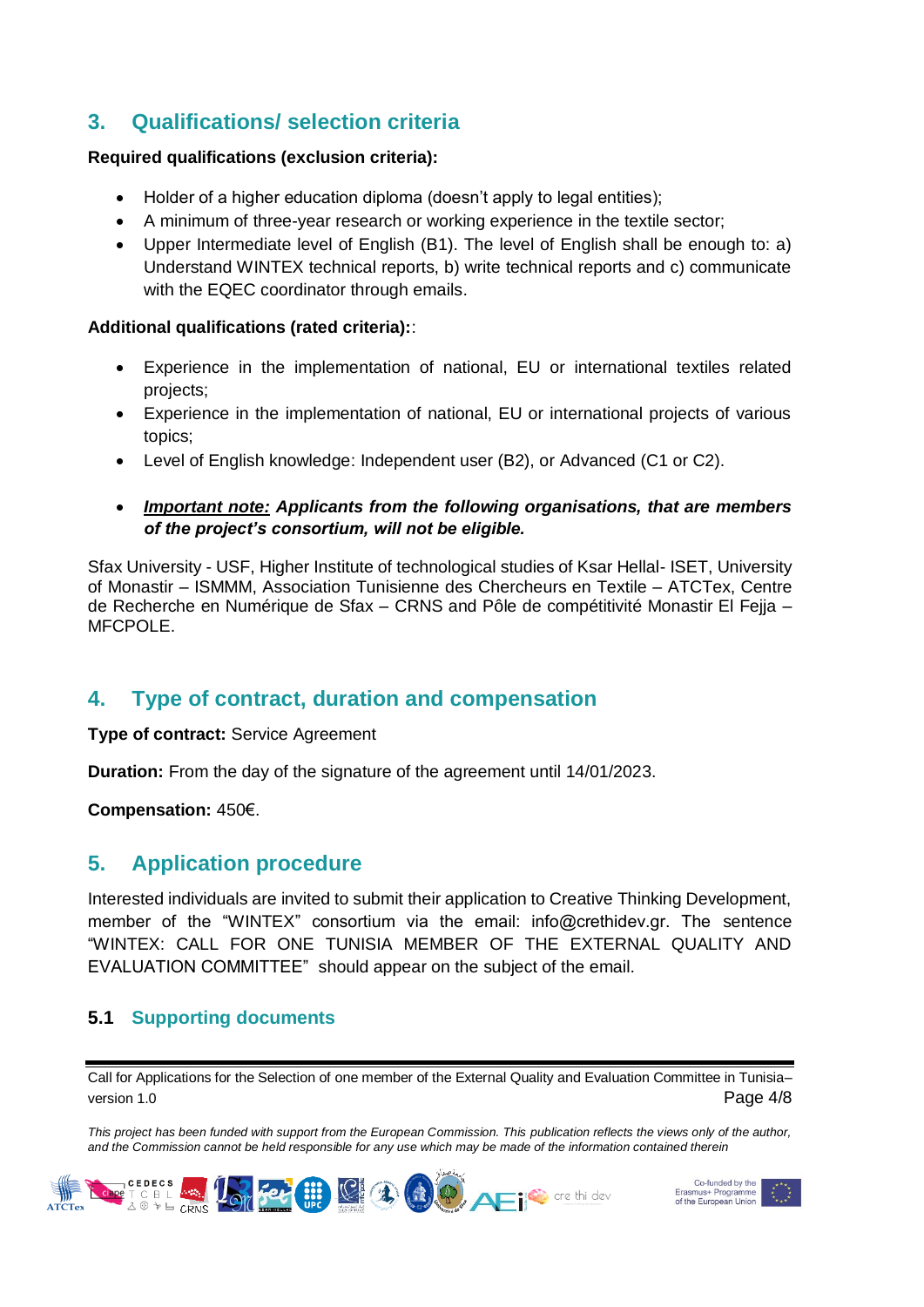# <span id="page-3-0"></span>**3. Qualifications/ selection criteria**

### **Required qualifications (exclusion criteria):**

- Holder of a higher education diploma (doesn't apply to legal entities);
- A minimum of three-year research or working experience in the textile sector;
- Upper Intermediate level of English (B1). The level of English shall be enough to: a) Understand WINTEX technical reports, b) write technical reports and c) communicate with the EQEC coordinator through emails.

### **Additional qualifications (rated criteria):**:

- Experience in the implementation of national, EU or international textiles related projects;
- Experience in the implementation of national, EU or international projects of various topics;
- Level of English knowledge: Independent user (B2), or Advanced (C1 or C2).
- *Important note: Applicants from the following organisations, that are members of the project's consortium, will not be eligible.*

Sfax University - USF, Higher Institute of technological studies of Ksar Hellal- ISET, University of Monastir – ISMMM, Association Tunisienne des Chercheurs en Textile – ATCTex, Centre de Recherche en Numérique de Sfax – CRNS and Pôle de compétitivité Monastir El Fejja – MFCPOLE.

## <span id="page-3-1"></span>**4. Type of contract, duration and compensation**

**Type of contract:** Service Agreement

**Duration:** From the day of the signature of the agreement until 14/01/2023.

**Compensation:** 450€.

## <span id="page-3-2"></span>**5. Application procedure**

Interested individuals are invited to submit their application to Creative Thinking Development, member of the "WINTEX" consortium via the email: info@crethidev.gr. The sentence "WINTEX: CALL FOR ONE TUNISIA MEMBER OF THE EXTERNAL QUALITY AND EVALUATION COMMITTEE" should appear on the subject of the email.

### <span id="page-3-3"></span>**5.1 Supporting documents**

Call for Applications for the Selection of one member of the External Quality and Evaluation Committee in Tunisia– version 1.0 **Page 4/8** 



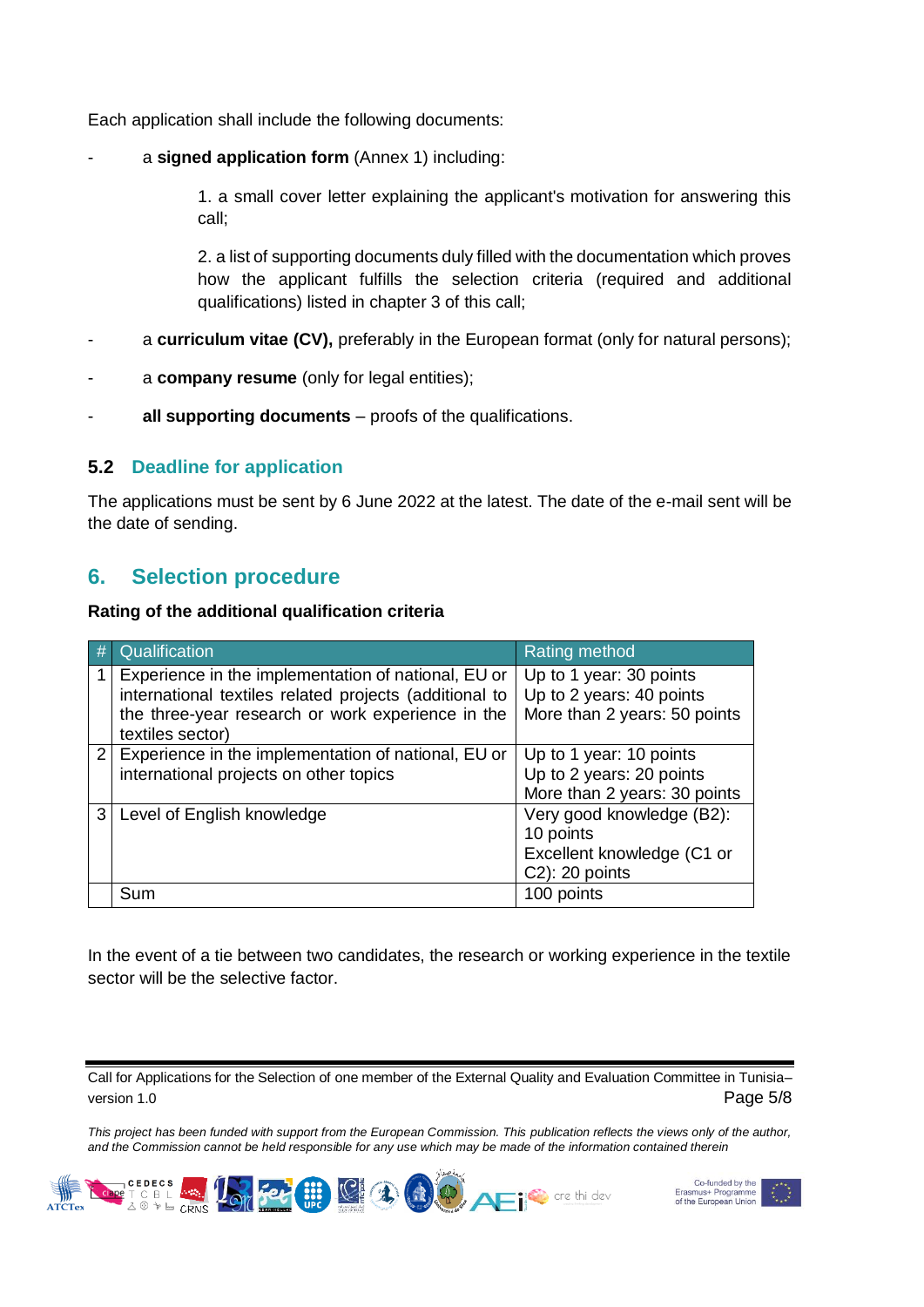Each application shall include the following documents:

a **signed application form** (Annex 1) including:

1. a small cover letter explaining the applicant's motivation for answering this call;

2. a list of supporting documents duly filled with the documentation which proves how the applicant fulfills the selection criteria (required and additional qualifications) listed in chapter 3 of this call;

- a **curriculum vitae (CV)**, preferably in the European format (only for natural persons);
- a **company resume** (only for legal entities);
- all supporting documents proofs of the qualifications.

### <span id="page-4-0"></span>**5.2 Deadline for application**

The applications must be sent by 6 June 2022 at the latest. The date of the e-mail sent will be the date of sending.

## <span id="page-4-1"></span>**6. Selection procedure**

### **Rating of the additional qualification criteria**

|   | Qualification                                                                                                                                                                          | <b>Rating method</b>                                                                   |
|---|----------------------------------------------------------------------------------------------------------------------------------------------------------------------------------------|----------------------------------------------------------------------------------------|
|   | Experience in the implementation of national, EU or<br>international textiles related projects (additional to<br>the three-year research or work experience in the<br>textiles sector) | Up to 1 year: 30 points<br>Up to 2 years: 40 points<br>More than 2 years: 50 points    |
|   | 2 Experience in the implementation of national, EU or<br>international projects on other topics                                                                                        | Up to 1 year: 10 points<br>Up to 2 years: 20 points<br>More than 2 years: 30 points    |
| 3 | Level of English knowledge                                                                                                                                                             | Very good knowledge (B2):<br>10 points<br>Excellent knowledge (C1 or<br>C2): 20 points |
|   | Sum                                                                                                                                                                                    | 100 points                                                                             |

In the event of a tie between two candidates, the research or working experience in the textile sector will be the selective factor.

Call for Applications for the Selection of one member of the External Quality and Evaluation Committee in Tunisia– version 1.0 Page 5/8



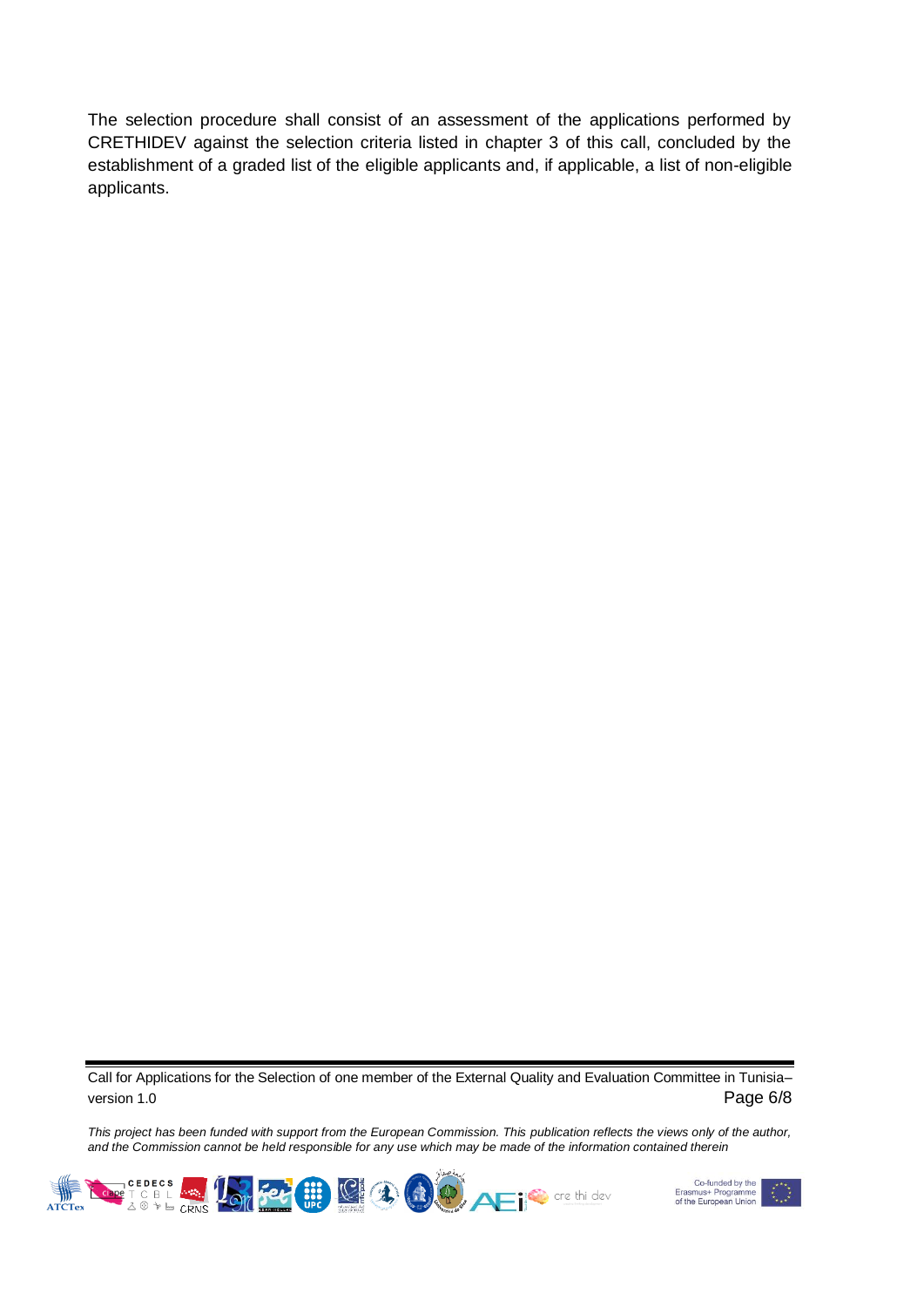The selection procedure shall consist of an assessment of the applications performed by CRETHIDEV against the selection criteria listed in chapter 3 of this call, concluded by the establishment of a graded list of the eligible applicants and, if applicable, a list of non-eligible applicants.

Call for Applications for the Selection of one member of the External Quality and Evaluation Committee in Tunisia– version 1.0 **Page 6/8** 



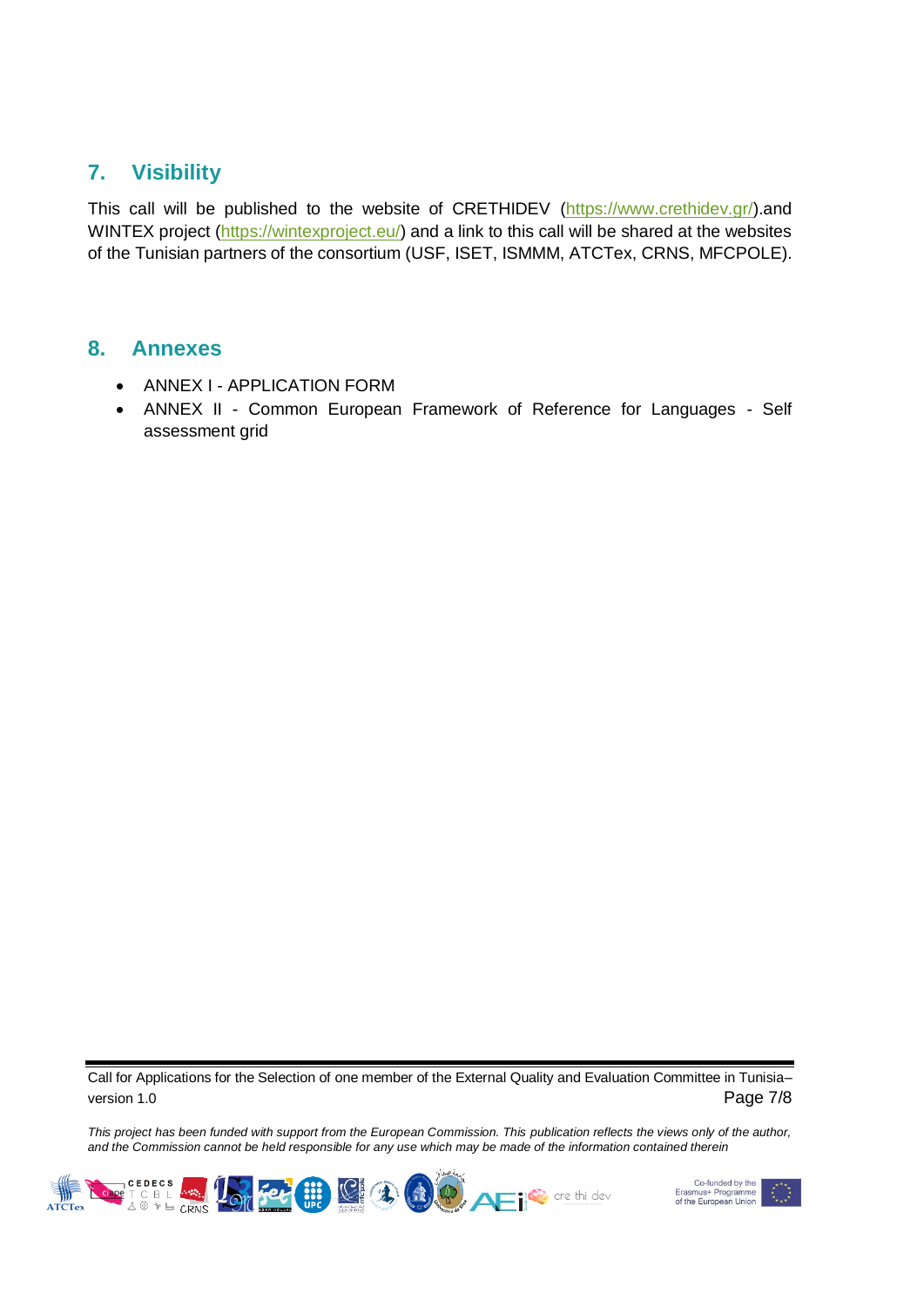## <span id="page-6-0"></span>**7. Visibility**

This call will be published to the website of CRETHIDEV [\(https://www.crethidev.gr/\)](https://www.crethidev.gr/).and WINTEX project [\(https://wintexproject.eu/\)](https://wintexproject.eu/) and a link to this call will be shared at the websites of the Tunisian partners of the consortium (USF, ISET, ISMMM, ATCTex, CRNS, MFCPOLE).

### <span id="page-6-1"></span>**8. Annexes**

- ANNEX I APPLICATION FORM
- ANNEX II Common European Framework of Reference for Languages Self assessment grid

Call for Applications for the Selection of one member of the External Quality and Evaluation Committee in Tunisia– version 1.0 **Page 7/8**